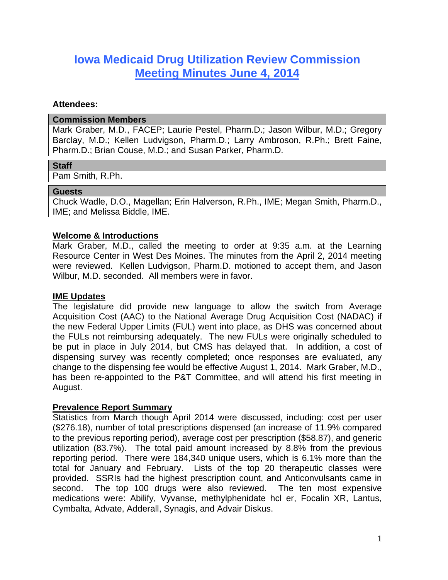# **Iowa Medicaid Drug Utilization Review Commission Meeting Minutes June 4, 2014**

#### **Attendees:**

#### **Commission Members**

Mark Graber, M.D., FACEP; Laurie Pestel, Pharm.D.; Jason Wilbur, M.D.; Gregory Barclay, M.D.; Kellen Ludvigson, Pharm.D.; Larry Ambroson, R.Ph.; Brett Faine, Pharm.D.; Brian Couse, M.D.; and Susan Parker, Pharm.D.

## **Staff**

Pam Smith, R.Ph.

#### **Guests**

Chuck Wadle, D.O., Magellan; Erin Halverson, R.Ph., IME; Megan Smith, Pharm.D., IME; and Melissa Biddle, IME.

## **Welcome & Introductions**

Mark Graber, M.D., called the meeting to order at 9:35 a.m. at the Learning Resource Center in West Des Moines. The minutes from the April 2, 2014 meeting were reviewed. Kellen Ludvigson, Pharm.D. motioned to accept them, and Jason Wilbur, M.D. seconded. All members were in favor.

## **IME Updates**

The legislature did provide new language to allow the switch from Average Acquisition Cost (AAC) to the National Average Drug Acquisition Cost (NADAC) if the new Federal Upper Limits (FUL) went into place, as DHS was concerned about the FULs not reimbursing adequately. The new FULs were originally scheduled to be put in place in July 2014, but CMS has delayed that. In addition, a cost of dispensing survey was recently completed; once responses are evaluated, any change to the dispensing fee would be effective August 1, 2014. Mark Graber, M.D., has been re-appointed to the P&T Committee, and will attend his first meeting in August.

## **Prevalence Report Summary**

Statistics from March though April 2014 were discussed, including: cost per user (\$276.18), number of total prescriptions dispensed (an increase of 11.9% compared to the previous reporting period), average cost per prescription (\$58.87), and generic utilization (83.7%). The total paid amount increased by 8.8% from the previous reporting period. There were 184,340 unique users, which is 6.1% more than the total for January and February. Lists of the top 20 therapeutic classes were provided. SSRIs had the highest prescription count, and Anticonvulsants came in second. The top 100 drugs were also reviewed. The ten most expensive medications were: Abilify, Vyvanse, methylphenidate hcl er, Focalin XR, Lantus, Cymbalta, Advate, Adderall, Synagis, and Advair Diskus.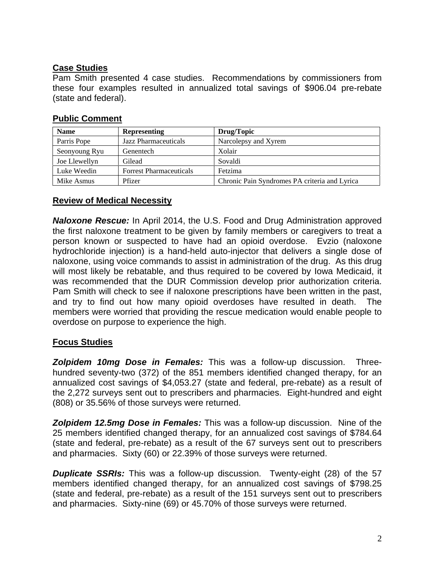## **Case Studies**

Pam Smith presented 4 case studies. Recommendations by commissioners from these four examples resulted in annualized total savings of \$906.04 pre-rebate (state and federal).

## **Public Comment**

| <b>Name</b>   | <b>Representing</b>            | Drug/Topic                                    |
|---------------|--------------------------------|-----------------------------------------------|
| Parris Pope   | Jazz Pharmaceuticals           | Narcolepsy and Xyrem                          |
| Seonyoung Ryu | Genentech                      | Xolair                                        |
| Joe Llewellyn | Gilead                         | Sovaldi                                       |
| Luke Weedin   | <b>Forrest Pharmaceuticals</b> | Fetzima                                       |
| Mike Asmus    | Pfizer                         | Chronic Pain Syndromes PA criteria and Lyrica |

## **Review of Medical Necessity**

*Naloxone Rescue:* In April 2014, the U.S. Food and Drug Administration approved the first naloxone treatment to be given by family members or caregivers to treat a person known or suspected to have had an opioid overdose. Evzio (naloxone hydrochloride injection) is a hand-held auto-injector that delivers a single dose of naloxone, using voice commands to assist in administration of the drug. As this drug will most likely be rebatable, and thus required to be covered by Iowa Medicaid, it was recommended that the DUR Commission develop prior authorization criteria. Pam Smith will check to see if naloxone prescriptions have been written in the past, and try to find out how many opioid overdoses have resulted in death. The members were worried that providing the rescue medication would enable people to overdose on purpose to experience the high.

# **Focus Studies**

*Zolpidem 10mg Dose in Females:* This was a follow-up discussion. Threehundred seventy-two (372) of the 851 members identified changed therapy, for an annualized cost savings of \$4,053.27 (state and federal, pre-rebate) as a result of the 2,272 surveys sent out to prescribers and pharmacies. Eight-hundred and eight (808) or 35.56% of those surveys were returned.

*Zolpidem 12.5mg Dose in Females:* This was a follow-up discussion. Nine of the 25 members identified changed therapy, for an annualized cost savings of \$784.64 (state and federal, pre-rebate) as a result of the 67 surveys sent out to prescribers and pharmacies. Sixty (60) or 22.39% of those surveys were returned.

*Duplicate SSRIs:* This was a follow-up discussion. Twenty-eight (28) of the 57 members identified changed therapy, for an annualized cost savings of \$798.25 (state and federal, pre-rebate) as a result of the 151 surveys sent out to prescribers and pharmacies. Sixty-nine (69) or 45.70% of those surveys were returned.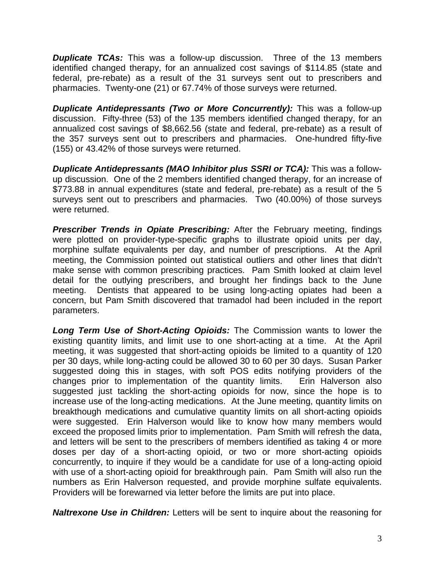*Duplicate TCAs:* This was a follow-up discussion. Three of the 13 members identified changed therapy, for an annualized cost savings of \$114.85 (state and federal, pre-rebate) as a result of the 31 surveys sent out to prescribers and pharmacies. Twenty-one (21) or 67.74% of those surveys were returned.

*Duplicate Antidepressants (Two or More Concurrently):* This was a follow-up discussion. Fifty-three (53) of the 135 members identified changed therapy, for an annualized cost savings of \$8,662.56 (state and federal, pre-rebate) as a result of the 357 surveys sent out to prescribers and pharmacies. One-hundred fifty-five (155) or 43.42% of those surveys were returned.

*Duplicate Antidepressants (MAO Inhibitor plus SSRI or TCA):* This was a followup discussion. One of the 2 members identified changed therapy, for an increase of \$773.88 in annual expenditures (state and federal, pre-rebate) as a result of the 5 surveys sent out to prescribers and pharmacies. Two (40.00%) of those surveys were returned.

**Prescriber Trends in Opiate Prescribing:** After the February meeting, findings were plotted on provider-type-specific graphs to illustrate opioid units per day, morphine sulfate equivalents per day, and number of prescriptions. At the April meeting, the Commission pointed out statistical outliers and other lines that didn't make sense with common prescribing practices. Pam Smith looked at claim level detail for the outlying prescribers, and brought her findings back to the June meeting. Dentists that appeared to be using long-acting opiates had been a concern, but Pam Smith discovered that tramadol had been included in the report parameters.

*Long Term Use of Short-Acting Opioids:* The Commission wants to lower the existing quantity limits, and limit use to one short-acting at a time. At the April meeting, it was suggested that short-acting opioids be limited to a quantity of 120 per 30 days, while long-acting could be allowed 30 to 60 per 30 days. Susan Parker suggested doing this in stages, with soft POS edits notifying providers of the changes prior to implementation of the quantity limits. Erin Halverson also suggested just tackling the short-acting opioids for now, since the hope is to increase use of the long-acting medications. At the June meeting, quantity limits on breakthough medications and cumulative quantity limits on all short-acting opioids were suggested. Erin Halverson would like to know how many members would exceed the proposed limits prior to implementation. Pam Smith will refresh the data, and letters will be sent to the prescribers of members identified as taking 4 or more doses per day of a short-acting opioid, or two or more short-acting opioids concurrently, to inquire if they would be a candidate for use of a long-acting opioid with use of a short-acting opioid for breakthrough pain. Pam Smith will also run the numbers as Erin Halverson requested, and provide morphine sulfate equivalents. Providers will be forewarned via letter before the limits are put into place.

*Naltrexone Use in Children:* Letters will be sent to inquire about the reasoning for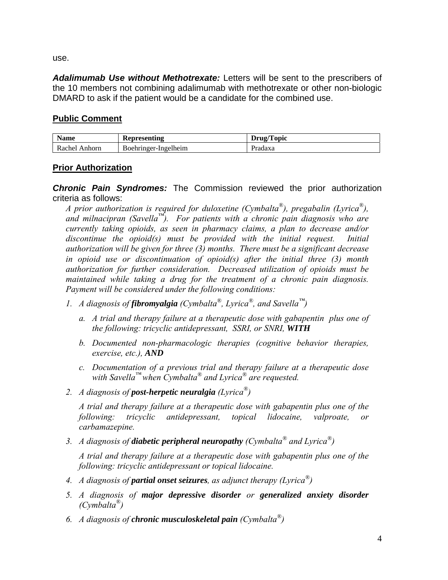use.

*Adalimumab Use without Methotrexate:* Letters will be sent to the prescribers of the 10 members not combining adalimumab with methotrexate or other non-biologic DMARD to ask if the patient would be a candidate for the combined use.

# **Public Comment**

| <b>Name</b>   | Representing         | Drug/Topic |
|---------------|----------------------|------------|
| Rachel Anhorn | Boehringer-Ingelheim | Pradaxa    |

# **Prior Authorization**

*Chronic Pain Syndromes:* The Commission reviewed the prior authorization criteria as follows:

*A prior authorization is required for duloxetine (Cymbalta®), pregabalin (Lyrica®), and milnacipran (Savella™). For patients with a chronic pain diagnosis who are currently taking opioids, as seen in pharmacy claims, a plan to decrease and/or discontinue the opioid(s) must be provided with the initial request. Initial authorization will be given for three (3) months. There must be a significant decrease in opioid use or discontinuation of opioid(s) after the initial three (3) month authorization for further consideration. Decreased utilization of opioids must be maintained while taking a drug for the treatment of a chronic pain diagnosis. Payment will be considered under the following conditions:* 

- *1. A diagnosis of fibromyalgia (Cymbalta®, Lyrica®, and Savella™)* 
	- *a. A trial and therapy failure at a therapeutic dose with gabapentin plus one of the following: tricyclic antidepressant, SSRI, or SNRI, WITH*
	- *b. Documented non-pharmacologic therapies (cognitive behavior therapies, exercise, etc.), AND*
	- *c. Documentation of a previous trial and therapy failure at a therapeutic dose with Savella™ when Cymbalta® and Lyrica® are requested.*
- *2. A diagnosis of post-herpetic neuralgia (Lyrica®)*

*A trial and therapy failure at a therapeutic dose with gabapentin plus one of the following: tricyclic antidepressant, topical lidocaine, valproate, or carbamazepine.* 

*3. A diagnosis of diabetic peripheral neuropathy (Cymbalta® and Lyrica®)* 

*A trial and therapy failure at a therapeutic dose with gabapentin plus one of the following: tricyclic antidepressant or topical lidocaine.* 

- *4. A diagnosis of partial onset seizures, as adjunct therapy (Lyrica®)*
- *5. A diagnosis of major depressive disorder or generalized anxiety disorder (Cymbalta®)*
- *6. A diagnosis of chronic musculoskeletal pain (Cymbalta®)*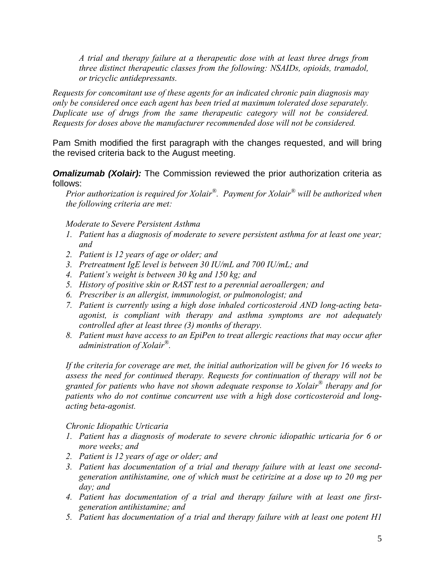*A trial and therapy failure at a therapeutic dose with at least three drugs from three distinct therapeutic classes from the following: NSAIDs, opioids, tramadol, or tricyclic antidepressants.* 

*Requests for concomitant use of these agents for an indicated chronic pain diagnosis may only be considered once each agent has been tried at maximum tolerated dose separately. Duplicate use of drugs from the same therapeutic category will not be considered. Requests for doses above the manufacturer recommended dose will not be considered.* 

Pam Smith modified the first paragraph with the changes requested, and will bring the revised criteria back to the August meeting.

**Omalizumab (Xolair):** The Commission reviewed the prior authorization criteria as follows:

*Prior authorization is required for Xolair®. Payment for Xolair® will be authorized when the following criteria are met:* 

*Moderate to Severe Persistent Asthma* 

- *1. Patient has a diagnosis of moderate to severe persistent asthma for at least one year; and*
- *2. Patient is 12 years of age or older; and*
- *3. Pretreatment IgE level is between 30 IU/mL and 700 IU/mL; and*
- *4. Patient's weight is between 30 kg and 150 kg; and*
- *5. History of positive skin or RAST test to a perennial aeroallergen; and*
- *6. Prescriber is an allergist, immunologist, or pulmonologist; and*
- *7. Patient is currently using a high dose inhaled corticosteroid AND long-acting betaagonist, is compliant with therapy and asthma symptoms are not adequately controlled after at least three (3) months of therapy.*
- *8. Patient must have access to an EpiPen to treat allergic reactions that may occur after administration of Xolair®.*

*If the criteria for coverage are met, the initial authorization will be given for 16 weeks to assess the need for continued therapy. Requests for continuation of therapy will not be granted for patients who have not shown adequate response to Xolair® therapy and for patients who do not continue concurrent use with a high dose corticosteroid and longacting beta-agonist.* 

#### *Chronic Idiopathic Urticaria*

- *1. Patient has a diagnosis of moderate to severe chronic idiopathic urticaria for 6 or more weeks; and*
- *2. Patient is 12 years of age or older; and*
- *3. Patient has documentation of a trial and therapy failure with at least one secondgeneration antihistamine, one of which must be cetirizine at a dose up to 20 mg per day; and*
- *4. Patient has documentation of a trial and therapy failure with at least one firstgeneration antihistamine; and*
- *5. Patient has documentation of a trial and therapy failure with at least one potent H1*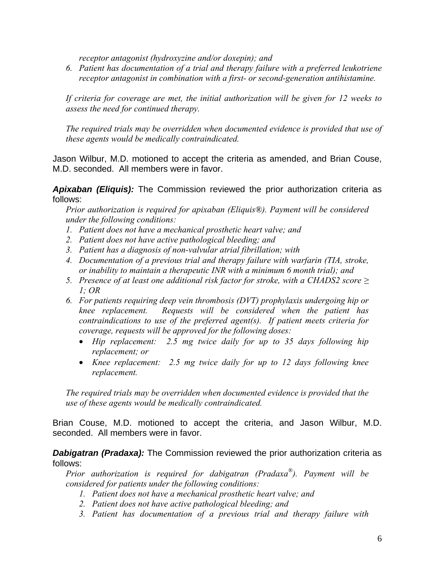*receptor antagonist (hydroxyzine and/or doxepin); and* 

*6. Patient has documentation of a trial and therapy failure with a preferred leukotriene receptor antagonist in combination with a first- or second-generation antihistamine.* 

*If criteria for coverage are met, the initial authorization will be given for 12 weeks to assess the need for continued therapy.* 

*The required trials may be overridden when documented evidence is provided that use of these agents would be medically contraindicated.* 

Jason Wilbur, M.D. motioned to accept the criteria as amended, and Brian Couse, M.D. seconded. All members were in favor.

*Apixaban (Eliquis):* The Commission reviewed the prior authorization criteria as follows:

*Prior authorization is required for apixaban (Eliquis®). Payment will be considered under the following conditions:* 

- *1. Patient does not have a mechanical prosthetic heart valve; and*
- *2. Patient does not have active pathological bleeding; and*
- *3. Patient has a diagnosis of non-valvular atrial fibrillation; with*
- *4. Documentation of a previous trial and therapy failure with warfarin (TIA, stroke, or inability to maintain a therapeutic INR with a minimum 6 month trial); and*
- *5.* Presence of at least one additional risk factor for stroke, with a CHADS2 score  $\geq$ *1; OR*
- *6. For patients requiring deep vein thrombosis (DVT) prophylaxis undergoing hip or knee replacement. Requests will be considered when the patient has contraindications to use of the preferred agent(s). If patient meets criteria for coverage, requests will be approved for the following doses:* 
	- *Hip replacement: 2.5 mg twice daily for up to 35 days following hip replacement; or*
	- *Knee replacement: 2.5 mg twice daily for up to 12 days following knee replacement.*

*The required trials may be overridden when documented evidence is provided that the use of these agents would be medically contraindicated.*

Brian Couse, M.D. motioned to accept the criteria, and Jason Wilbur, M.D. seconded. All members were in favor.

**Dabigatran (Pradaxa):** The Commission reviewed the prior authorization criteria as follows:

*Prior authorization is required for dabigatran (Pradaxa®). Payment will be considered for patients under the following conditions:* 

- *1. Patient does not have a mechanical prosthetic heart valve; and*
- *2. Patient does not have active pathological bleeding; and*
- *3. Patient has documentation of a previous trial and therapy failure with*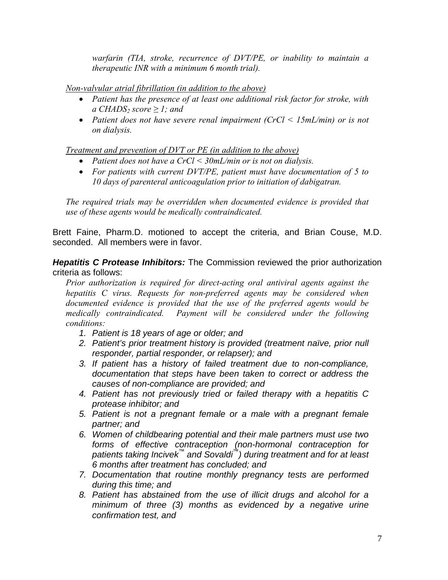*warfarin (TIA, stroke, recurrence of DVT/PE, or inability to maintain a therapeutic INR with a minimum 6 month trial).* 

*Non-valvular atrial fibrillation (in addition to the above)*

- *Patient has the presence of at least one additional risk factor for stroke, with a*  $CHADS<sub>2</sub> score \ge 1$ ; and
- *Patient does not have severe renal impairment (CrCl < 15mL/min) or is not on dialysis.*

*Treatment and prevention of DVT or PE (in addition to the above)*

- *Patient does not have a CrCl < 30mL/min or is not on dialysis.*
- *For patients with current DVT/PE, patient must have documentation of 5 to 10 days of parenteral anticoagulation prior to initiation of dabigatran.*

*The required trials may be overridden when documented evidence is provided that use of these agents would be medically contraindicated.* 

Brett Faine, Pharm.D. motioned to accept the criteria, and Brian Couse, M.D. seconded. All members were in favor.

*Hepatitis C Protease Inhibitors:* The Commission reviewed the prior authorization criteria as follows:

*Prior authorization is required for direct-acting oral antiviral agents against the hepatitis C virus. Requests for non-preferred agents may be considered when documented evidence is provided that the use of the preferred agents would be medically contraindicated. Payment will be considered under the following conditions:* 

- *1. Patient is 18 years of age or older; and*
- *2. Patient's prior treatment history is provided (treatment naïve, prior null responder, partial responder, or relapser); and*
- *3. If patient has a history of failed treatment due to non-compliance, documentation that steps have been taken to correct or address the causes of non-compliance are provided; and*
- *4. Patient has not previously tried or failed therapy with a hepatitis C protease inhibitor; and*
- *5. Patient is not a pregnant female or a male with a pregnant female partner; and*
- *6. Women of childbearing potential and their male partners must use two forms of effective contraception (non-hormonal contraception for patients taking Incivek™ and Sovaldi™) during treatment and for at least 6 months after treatment has concluded; and*
- *7. Documentation that routine monthly pregnancy tests are performed during this time; and*
- *8. Patient has abstained from the use of illicit drugs and alcohol for a minimum of three (3) months as evidenced by a negative urine confirmation test, and*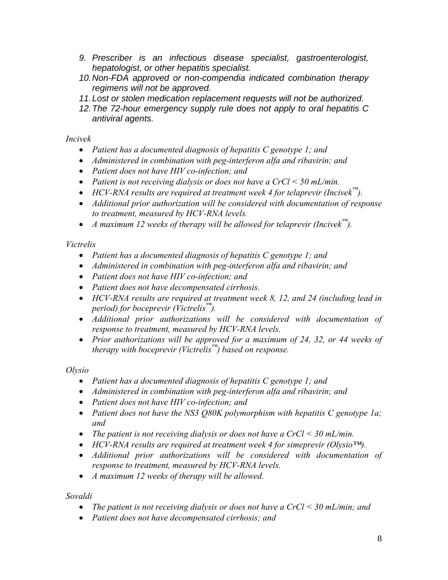- *9. Prescriber is an infectious disease specialist, gastroenterologist, hepatologist, or other hepatitis specialist.*
- *10. Non-FDA approved or non-compendia indicated combination therapy regimens will not be approved.*
- *11. Lost or stolen medication replacement requests will not be authorized.*
- *12. The 72-hour emergency supply rule does not apply to oral hepatitis C antiviral agents.*

*Incivek* 

- *Patient has a documented diagnosis of hepatitis C genotype 1; and*
- *Administered in combination with peg-interferon alfa and ribavirin; and*
- *Patient does not have HIV co-infection; and*
- *Patient is not receiving dialysis or does not have a CrCl < 50 mL/min.*
- *HCV-RNA results are required at treatment week 4 for telaprevir (Incivek™).*
- *Additional prior authorization will be considered with documentation of response to treatment, measured by HCV-RNA levels.*
- *A maximum 12 weeks of therapy will be allowed for telaprevir (Incivek™).*

## *Victrelis*

- *Patient has a documented diagnosis of hepatitis C genotype 1; and*
- *Administered in combination with peg-interferon alfa and ribavirin; and*
- *Patient does not have HIV co-infection; and*
- *Patient does not have decompensated cirrhosis.*
- *HCV-RNA results are required at treatment week 8, 12, and 24 (including lead in period) for boceprevir (Victrelis™).*
- *Additional prior authorizations will be considered with documentation of response to treatment, measured by HCV-RNA levels.*
- *Prior authorizations will be approved for a maximum of 24, 32, or 44 weeks of therapy with boceprevir (Victrelis™) based on response.*

*Olysio* 

- *Patient has a documented diagnosis of hepatitis C genotype 1; and*
- *Administered in combination with peg-interferon alfa and ribavirin; and*
- *Patient does not have HIV co-infection; and*
- *Patient does not have the NS3 Q80K polymorphism with hepatitis C genotype 1a; and*
- *The patient is not receiving dialysis or does not have a CrCl < 30 mL/min.*
- *HCV-RNA results are required at treatment week 4 for simeprevir (Olysio™).*
- *Additional prior authorizations will be considered with documentation of response to treatment, measured by HCV-RNA levels.*
- *A maximum 12 weeks of therapy will be allowed.*

*Sovaldi* 

- *The patient is not receiving dialysis or does not have a CrCl < 30 mL/min; and*
- *Patient does not have decompensated cirrhosis; and*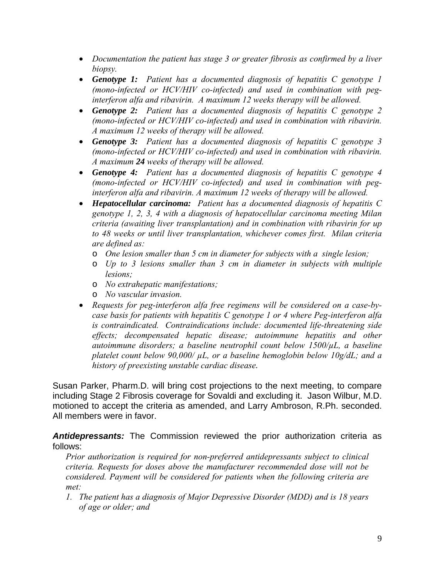- *Documentation the patient has stage 3 or greater fibrosis as confirmed by a liver biopsy.*
- *Genotype 1: Patient has a documented diagnosis of hepatitis C genotype 1 (mono-infected or HCV/HIV co-infected) and used in combination with peginterferon alfa and ribavirin. A maximum 12 weeks therapy will be allowed.*
- *Genotype 2: Patient has a documented diagnosis of hepatitis C genotype 2 (mono-infected or HCV/HIV co-infected) and used in combination with ribavirin. A maximum 12 weeks of therapy will be allowed.*
- *Genotype 3: Patient has a documented diagnosis of hepatitis C genotype 3 (mono-infected or HCV/HIV co-infected) and used in combination with ribavirin. A maximum 24 weeks of therapy will be allowed.*
- *Genotype 4: Patient has a documented diagnosis of hepatitis C genotype 4 (mono-infected or HCV/HIV co-infected) and used in combination with peginterferon alfa and ribavirin. A maximum 12 weeks of therapy will be allowed.*
- *Hepatocellular carcinoma: Patient has a documented diagnosis of hepatitis C genotype 1, 2, 3, 4 with a diagnosis of hepatocellular carcinoma meeting Milan criteria (awaiting liver transplantation) and in combination with ribavirin for up to 48 weeks or until liver transplantation, whichever comes first. Milan criteria are defined as:* 
	- o *One lesion smaller than 5 cm in diameter for subjects with a single lesion;*
	- o *Up to 3 lesions smaller than 3 cm in diameter in subjects with multiple lesions;*
	- o *No extrahepatic manifestations;*
	- o *No vascular invasion.*
- *Requests for peg-interferon alfa free regimens will be considered on a case-bycase basis for patients with hepatitis C genotype 1 or 4 where Peg-interferon alfa is contraindicated. Contraindications include: documented life-threatening side effects; decompensated hepatic disease; autoimmune hepatitis and other autoimmune disorders; a baseline neutrophil count below 1500/µL, a baseline platelet count below 90,000/ µL, or a baseline hemoglobin below 10g/dL; and a history of preexisting unstable cardiac disease.*

Susan Parker, Pharm.D. will bring cost projections to the next meeting, to compare including Stage 2 Fibrosis coverage for Sovaldi and excluding it. Jason Wilbur, M.D. motioned to accept the criteria as amended, and Larry Ambroson, R.Ph. seconded. All members were in favor.

*Antidepressants:* The Commission reviewed the prior authorization criteria as follows:

*Prior authorization is required for non-preferred antidepressants subject to clinical criteria. Requests for doses above the manufacturer recommended dose will not be considered. Payment will be considered for patients when the following criteria are met:* 

*1. The patient has a diagnosis of Major Depressive Disorder (MDD) and is 18 years of age or older; and*